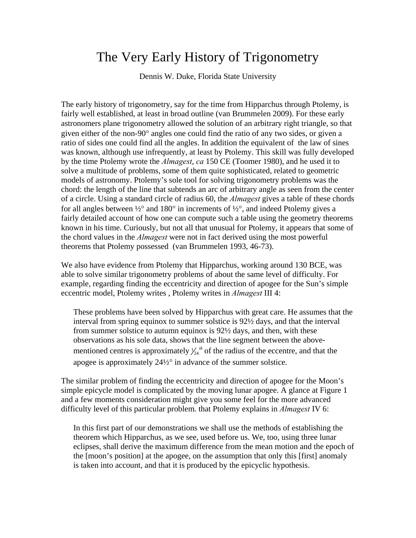## The Very Early History of Trigonometry

Dennis W. Duke, Florida State University

The early history of trigonometry, say for the time from Hipparchus through Ptolemy, is fairly well established, at least in broad outline (van Brummelen 2009). For these early astronomers plane trigonometry allowed the solution of an arbitrary right triangle, so that given either of the non-90° angles one could find the ratio of any two sides, or given a ratio of sides one could find all the angles. In addition the equivalent of the law of sines was known, although use infrequently, at least by Ptolemy. This skill was fully developed by the time Ptolemy wrote the *Almagest*, *ca* 150 CE (Toomer 1980), and he used it to solve a multitude of problems, some of them quite sophisticated, related to geometric models of astronomy. Ptolemy's sole tool for solving trigonometry problems was the chord: the length of the line that subtends an arc of arbitrary angle as seen from the center of a circle. Using a standard circle of radius 60, the *Almagest* gives a table of these chords for all angles between  $\frac{1}{2}^{\circ}$  and  $180^{\circ}$  in increments of  $\frac{1}{2}^{\circ}$ , and indeed Ptolemy gives a fairly detailed account of how one can compute such a table using the geometry theorems known in his time. Curiously, but not all that unusual for Ptolemy, it appears that some of the chord values in the *Almagest* were not in fact derived using the most powerful theorems that Ptolemy possessed (van Brummelen 1993, 46-73).

We also have evidence from Ptolemy that Hipparchus, working around 130 BCE, was able to solve similar trigonometry problems of about the same level of difficulty. For example, regarding finding the eccentricity and direction of apogee for the Sun's simple eccentric model, Ptolemy writes , Ptolemy writes in *Almagest* III 4:

These problems have been solved by Hipparchus with great care. He assumes that the interval from spring equinox to summer solstice is 92½ days, and that the interval from summer solstice to autumn equinox is 92½ days, and then, with these observations as his sole data, shows that the line segment between the abovementioned centres is approximately  $\frac{1}{24}$  <sup>th</sup> of the radius of the eccentre, and that the apogee is approximately 24½° in advance of the summer solstice.

The similar problem of finding the eccentricity and direction of apogee for the Moon's simple epicycle model is complicated by the moving lunar apogee. A glance at Figure 1 and a few moments consideration might give you some feel for the more advanced difficulty level of this particular problem. that Ptolemy explains in *Almagest* IV 6:

In this first part of our demonstrations we shall use the methods of establishing the theorem which Hipparchus, as we see, used before us. We, too, using three lunar eclipses, shall derive the maximum difference from the mean motion and the epoch of the [moon's position] at the apogee, on the assumption that only this [first] anomaly is taken into account, and that it is produced by the epicyclic hypothesis.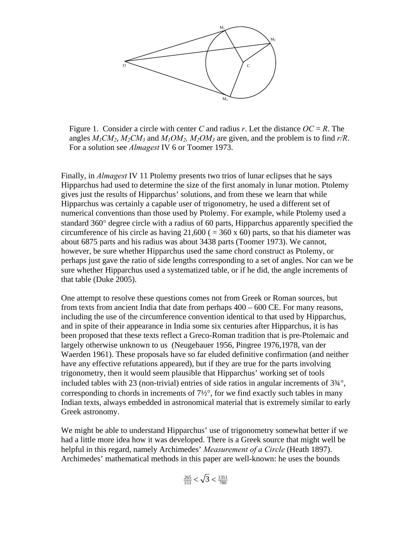

Figure 1. Consider a circle with center C and radius r. Let the distance  $OC = R$ . The angles  $M_1CM_2$ ,  $M_2CM_3$  and  $M_1OM_2$ ,  $M_2OM_3$  are given, and the problem is to find  $r/R$ . For a solution see *Almagest* IV 6 or Toomer 1973.

Finally, in *Almagest* IV 11 Ptolemy presents two trios of lunar eclipses that he says Hipparchus had used to determine the size of the first anomaly in lunar motion. Ptolemy gives just the results of Hipparchus' solutions, and from these we learn that while Hipparchus was certainly a capable user of trigonometry, he used a different set of numerical conventions than those used by Ptolemy. For example, while Ptolemy used a standard 360° degree circle with a radius of 60 parts, Hipparchus apparently specified the circumference of his circle as having  $21,600 (= 360 \times 60)$  parts, so that his diameter was about 6875 parts and his radius was about 3438 parts (Toomer 1973). We cannot, however, be sure whether Hipparchus used the same chord construct as Ptolemy, or perhaps just gave the ratio of side lengths corresponding to a set of angles. Nor can we be sure whether Hipparchus used a systematized table, or if he did, the angle increments of that table (Duke 2005).

One attempt to resolve these questions comes not from Greek or Roman sources, but from texts from ancient India that date from perhaps 400 – 600 CE. For many reasons, including the use of the circumference convention identical to that used by Hipparchus, and in spite of their appearance in India some six centuries after Hipparchus, it is has been proposed that these texts reflect a Greco-Roman tradition that is pre-Ptolemaic and largely otherwise unknown to us (Neugebauer 1956, Pingree 1976,1978, van der Waerden 1961). These proposals have so far eluded definitive confirmation (and neither have any effective refutations appeared), but if they are true for the parts involving trigonometry, then it would seem plausible that Hipparchus' working set of tools included tables with 23 (non-trivial) entries of side ratios in angular increments of 3¾°, corresponding to chords in increments of 7½°, for we find exactly such tables in many Indian texts, always embedded in astronomical material that is extremely similar to early Greek astronomy.

We might be able to understand Hipparchus' use of trigonometry somewhat better if we had a little more idea how it was developed. There is a Greek source that might well be helpful in this regard, namely Archimedes' *Measurement of a Circle* (Heath 1897). Archimedes' mathematical methods in this paper are well-known: he uses the bounds

$$
\frac{265}{153} < \sqrt{3} < \frac{1351}{780}
$$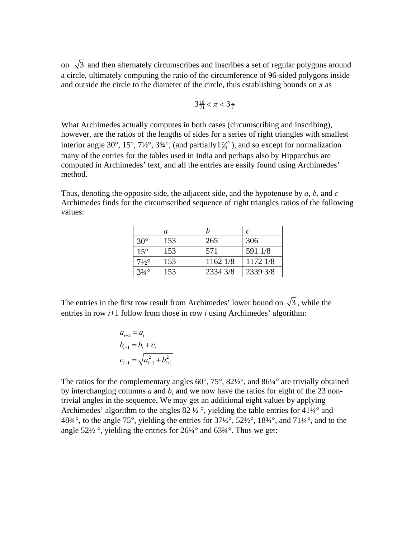on  $\sqrt{3}$  and then alternately circumscribes and inscribes a set of regular polygons around a circle, ultimately computing the ratio of the circumference of 96-sided polygons inside and outside the circle to the diameter of the circle, thus establishing bounds on  $\pi$  as

$$
3\frac{10}{71} < \pi < 3\frac{1}{7}
$$

What Archimedes actually computes in both cases (circumscribing and inscribing), however, are the ratios of the lengths of sides for a series of right triangles with smallest interior angle 30°, 15°, 7½°, 3¾°, (and partially  $1\frac{1}{8}$ °), and so except for normalization many of the entries for the tables used in India and perhaps also by Hipparchus are computed in Archimedes' text, and all the entries are easily found using Archimedes' method.

Thus, denoting the opposite side, the adjacent side, and the hypotenuse by *a*, *b,* and *c* Archimedes finds for the circumscribed sequence of right triangles ratios of the following values:

|                  | a   |          | C        |
|------------------|-----|----------|----------|
| $30^\circ$       | 153 | 265      | 306      |
| $15^{\circ}$     | 153 | 571      | 591 1/8  |
| $7\frac{1}{2}$ ° | 153 | 1162 1/8 | 1172 1/8 |
| $3/4^\circ$      | 153 | 2334 3/8 | 2339 3/8 |

The entries in the first row result from Archimedes' lower bound on  $\sqrt{3}$ , while the entries in row *i*+1 follow from those in row *i* using Archimedes' algorithm:

$$
a_{i+1} = a_i
$$
  
\n
$$
b_{i+1} = b_i + c_i
$$
  
\n
$$
c_{i+1} = \sqrt{a_{i+1}^2 + b_{i+1}^2}
$$

The ratios for the complementary angles  $60^\circ$ ,  $75^\circ$ ,  $82\frac{1}{2}^\circ$ , and  $86\frac{1}{4}^\circ$  are trivially obtained by interchanging columns *a* and *b*, and we now have the ratios for eight of the 23 nontrivial angles in the sequence. We may get an additional eight values by applying Archimedes' algorithm to the angles  $82\frac{1}{2}$ °, yielding the table entries for 41¼° and 48 $\frac{32}{4}$ °, to the angle 75°, yielding the entries for  $\frac{37}{2}$ °,  $\frac{52}{2}$ °,  $\frac{183}{4}$ °, and  $\frac{71}{4}$ °, and to the angle 52 $\frac{1}{2}$ °, yielding the entries for 26 $\frac{1}{4}$ ° and 63 $\frac{3}{4}$ °. Thus we get: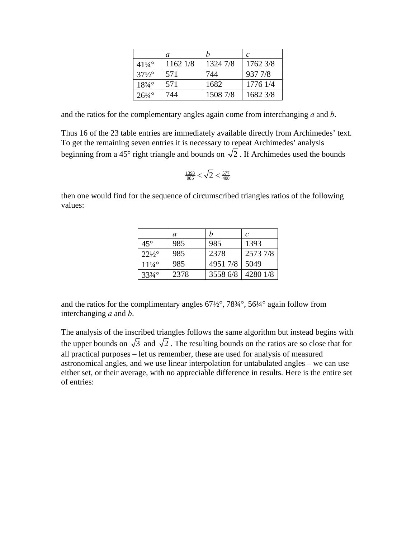|                              | a        | h        | C        |
|------------------------------|----------|----------|----------|
| $41\frac{1}{4}$ <sup>o</sup> | 1162 1/8 | 1324 7/8 | 1762 3/8 |
| $37\frac{1}{2}$ °            | 571      | 744      | 937 7/8  |
| $18\frac{3}{4}$ °            | 571      | 1682     | 1776 1/4 |
| $26\frac{1}{4}$ °            | 744      | 1508 7/8 | 1682 3/8 |

and the ratios for the complementary angles again come from interchanging *a* and *b*.

Thus 16 of the 23 table entries are immediately available directly from Archimedes' text. To get the remaining seven entries it is necessary to repeat Archimedes' analysis beginning from a 45° right triangle and bounds on  $\sqrt{2}$ . If Archimedes used the bounds

$$
\frac{1393}{985} < \sqrt{2} < \frac{577}{408}
$$

then one would find for the sequence of circumscribed triangles ratios of the following values:

|                   | a    | h        | $\mathcal C$ |
|-------------------|------|----------|--------------|
| $45^{\circ}$      | 985  | 985      | 1393         |
| $22\frac{1}{2}$   | 985  | 2378     | 2573 7/8     |
| $11\frac{1}{4}$ ° | 985  | 4951 7/8 | 5049         |
| $33\frac{3}{4}$ ° | 2378 | 3558 6/8 | 4280 1/8     |

and the ratios for the complimentary angles  $67\frac{1}{2}$ °,  $78\frac{3}{4}$ °,  $56\frac{1}{4}$ ° again follow from interchanging *a* and *b*.

The analysis of the inscribed triangles follows the same algorithm but instead begins with the upper bounds on  $\sqrt{3}$  and  $\sqrt{2}$ . The resulting bounds on the ratios are so close that for all practical purposes – let us remember, these are used for analysis of measured astronomical angles, and we use linear interpolation for untabulated angles – we can use either set, or their average, with no appreciable difference in results. Here is the entire set of entries: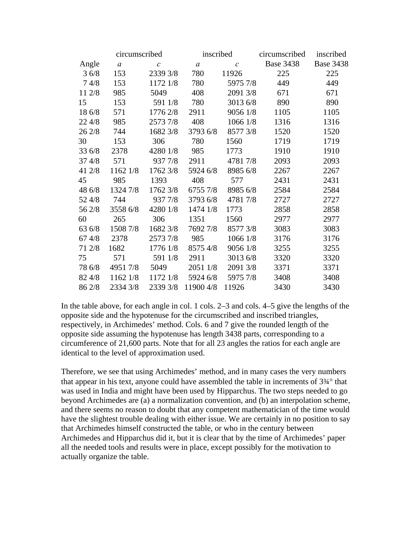|        | circumscribed    |              | inscribed        |              | circumscribed    | inscribed        |
|--------|------------------|--------------|------------------|--------------|------------------|------------------|
| Angle  | $\boldsymbol{a}$ | $\mathcal C$ | $\boldsymbol{a}$ | $\mathcal C$ | <b>Base 3438</b> | <b>Base 3438</b> |
| 36/8   | 153              | 2339 3/8     | 780              | 11926        | 225              | 225              |
| 74/8   | 153              | 1172 1/8     | 780              | 5975 7/8     | 449              | 449              |
| 11 2/8 | 985              | 5049         | 408              | 2091 3/8     | 671              | 671              |
| 15     | 153              | 591 1/8      | 780              | 3013 6/8     | 890              | 890              |
| 18 6/8 | 571              | 1776 2/8     | 2911             | 9056 1/8     | 1105             | 1105             |
| 22 4/8 | 985              | 2573 7/8     | 408              | 1066 1/8     | 1316             | 1316             |
| 26 2/8 | 744              | 1682 3/8     | 3793 6/8         | 8577 3/8     | 1520             | 1520             |
| 30     | 153              | 306          | 780              | 1560         | 1719             | 1719             |
| 33 6/8 | 2378             | 4280 1/8     | 985              | 1773         | 1910             | 1910             |
| 37 4/8 | 571              | 937 7/8      | 2911             | 4781 7/8     | 2093             | 2093             |
| 41 2/8 | 1162 1/8         | 1762 3/8     | 5924 6/8         | 8985 6/8     | 2267             | 2267             |
| 45     | 985              | 1393         | 408              | 577          | 2431             | 2431             |
| 48 6/8 | 1324 7/8         | 1762 3/8     | 6755 7/8         | 8985 6/8     | 2584             | 2584             |
| 52 4/8 | 744              | 937 7/8      | 3793 6/8         | 47817/8      | 2727             | 2727             |
| 56 2/8 | 3558 6/8         | 4280 1/8     | 1474 1/8         | 1773         | 2858             | 2858             |
| 60     | 265              | 306          | 1351             | 1560         | 2977             | 2977             |
| 63 6/8 | 1508 7/8         | 1682 3/8     | 7692 7/8         | 8577 3/8     | 3083             | 3083             |
| 67 4/8 | 2378             | 2573 7/8     | 985              | 1066 1/8     | 3176             | 3176             |
| 71 2/8 | 1682             | 1776 1/8     | 8575 4/8         | 9056 1/8     | 3255             | 3255             |
| 75     | 571              | 591 1/8      | 2911             | 3013 6/8     | 3320             | 3320             |
| 78 6/8 | 4951 7/8         | 5049         | 2051 1/8         | 2091 3/8     | 3371             | 3371             |
| 82 4/8 | 1162 1/8         | 1172 1/8     | 5924 6/8         | 5975 7/8     | 3408             | 3408             |
| 86 2/8 | 2334 3/8         | 2339 3/8     | 11900 4/8        | 11926        | 3430             | 3430             |

In the table above, for each angle in col. 1 cols. 2–3 and cols. 4–5 give the lengths of the opposite side and the hypotenuse for the circumscribed and inscribed triangles, respectively, in Archimedes' method. Cols. 6 and 7 give the rounded length of the opposite side assuming the hypotenuse has length 3438 parts, corresponding to a circumference of 21,600 parts. Note that for all 23 angles the ratios for each angle are identical to the level of approximation used.

Therefore, we see that using Archimedes' method, and in many cases the very numbers that appear in his text, anyone could have assembled the table in increments of 3¾° that was used in India and might have been used by Hipparchus. The two steps needed to go beyond Archimedes are (a) a normalization convention, and (b) an interpolation scheme, and there seems no reason to doubt that any competent mathematician of the time would have the slightest trouble dealing with either issue. We are certainly in no position to say that Archimedes himself constructed the table, or who in the century between Archimedes and Hipparchus did it, but it is clear that by the time of Archimedes' paper all the needed tools and results were in place, except possibly for the motivation to actually organize the table.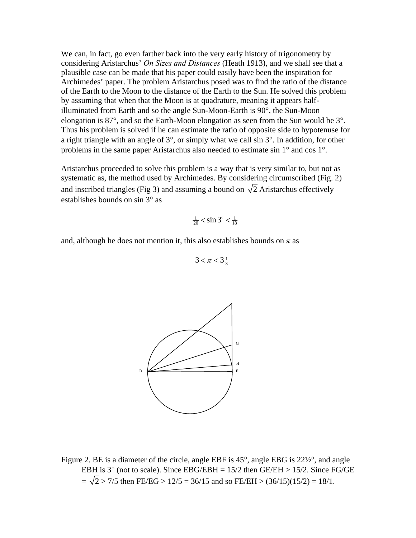We can, in fact, go even farther back into the very early history of trigonometry by considering Aristarchus' *On Sizes and Distances* (Heath 1913), and we shall see that a plausible case can be made that his paper could easily have been the inspiration for Archimedes' paper. The problem Aristarchus posed was to find the ratio of the distance of the Earth to the Moon to the distance of the Earth to the Sun. He solved this problem by assuming that when that the Moon is at quadrature, meaning it appears halfilluminated from Earth and so the angle Sun-Moon-Earth is 90°, the Sun-Moon elongation is 87°, and so the Earth-Moon elongation as seen from the Sun would be 3°. Thus his problem is solved if he can estimate the ratio of opposite side to hypotenuse for a right triangle with an angle of 3°, or simply what we call sin 3°. In addition, for other problems in the same paper Aristarchus also needed to estimate sin 1° and cos 1°.

Aristarchus proceeded to solve this problem is a way that is very similar to, but not as systematic as, the method used by Archimedes. By considering circumscribed (Fig. 2) and inscribed triangles (Fig 3) and assuming a bound on  $\sqrt{2}$  Aristarchus effectively establishes bounds on sin 3° as

$$
\frac{1}{20} < \sin 3^\circ < \frac{1}{18}
$$

and, although he does not mention it, this also establishes bounds on  $\pi$  as

$$
3 < \pi < 3\frac{1}{3}
$$



Figure 2. BE is a diameter of the circle, angle EBF is 45°, angle EBG is 22½°, and angle EBH is  $3^{\circ}$  (not to scale). Since EBG/EBH = 15/2 then GE/EH > 15/2. Since FG/GE  $=$   $\sqrt{2}$  > 7/5 then FE/EG > 12/5 = 36/15 and so FE/EH > (36/15)(15/2) = 18/1.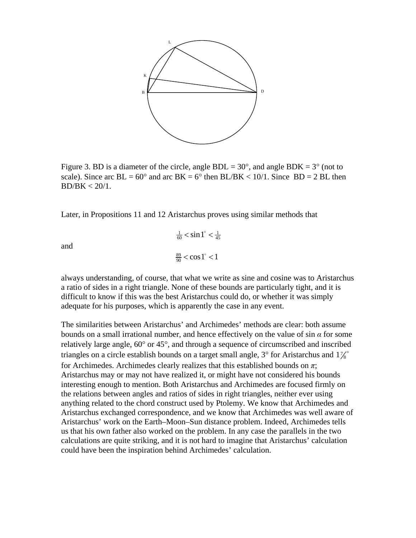

Figure 3. BD is a diameter of the circle, angle  $BDL = 30^{\circ}$ , and angle  $BDK = 3^{\circ}$  (not to scale). Since arc  $BL = 60^{\circ}$  and arc  $BK = 6^{\circ}$  then  $BL/BK < 10/1$ . Since  $BD = 2 BL$  then  $BD/BK < 20/1$ .

Later, in Propositions 11 and 12 Aristarchus proves using similar methods that

and

and  

$$
\frac{1}{60} < \sin 1^\circ < \frac{1}{45}
$$

$$
\frac{89}{90} < \cos 1^\circ < 1
$$

always understanding, of course, that what we write as sine and cosine was to Aristarchus a ratio of sides in a right triangle. None of these bounds are particularly tight, and it is difficult to know if this was the best Aristarchus could do, or whether it was simply adequate for his purposes, which is apparently the case in any event.

The similarities between Aristarchus' and Archimedes' methods are clear: both assume bounds on a small irrational number, and hence effectively on the value of sin  $\alpha$  for some relatively large angle, 60° or 45°, and through a sequence of circumscribed and inscribed triangles on a circle establish bounds on a target small angle,  $3^{\circ}$  for Aristarchus and  $1\frac{1}{8}^{\circ}$ for Archimedes. Archimedes clearly realizes that this established bounds on *π*; Aristarchus may or may not have realized it, or might have not considered his bounds interesting enough to mention. Both Aristarchus and Archimedes are focused firmly on the relations between angles and ratios of sides in right triangles, neither ever using anything related to the chord construct used by Ptolemy. We know that Archimedes and Aristarchus exchanged correspondence, and we know that Archimedes was well aware of Aristarchus' work on the Earth–Moon–Sun distance problem. Indeed, Archimedes tells us that his own father also worked on the problem. In any case the parallels in the two calculations are quite striking, and it is not hard to imagine that Aristarchus' calculation could have been the inspiration behind Archimedes' calculation.